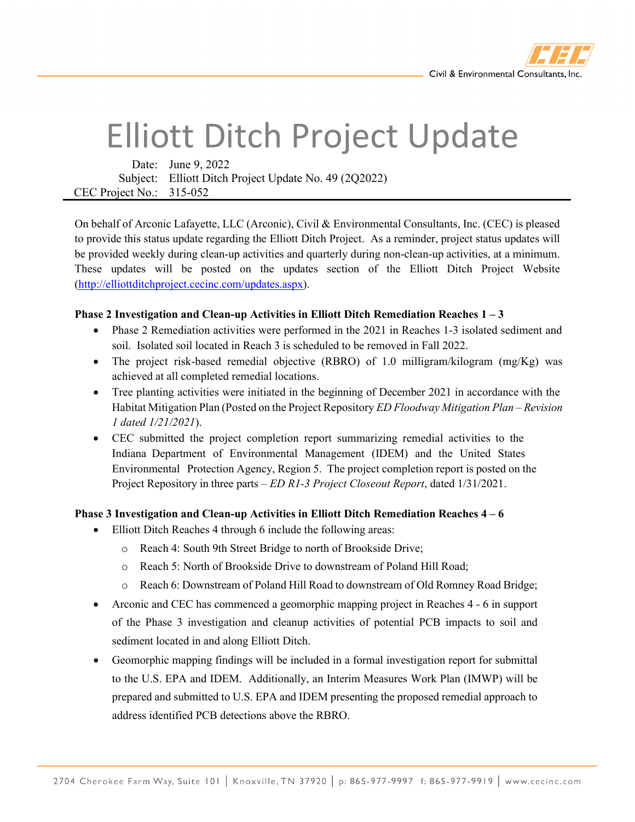

## Elliott Ditch Project Update

Date: June 9, 2022 Subject: Elliott Ditch Project Update No. 49 (2Q2022) CEC Project No.: 315-052

On behalf of Arconic Lafayette, LLC (Arconic), Civil & Environmental Consultants, Inc. (CEC) is pleased to provide this status update regarding the Elliott Ditch Project. As a reminder, project status updates will be provided weekly during clean-up activities and quarterly during non-clean-up activities, at a minimum. These updates will be posted on the updates section of the Elliott Ditch Project Website [\(http://elliottditchproject.cecinc.com/updates.aspx\)](http://elliottditchproject.cecinc.com/updates.aspx).

## **Phase 2 Investigation and Clean-up Activities in Elliott Ditch Remediation Reaches 1 – 3**

- Phase 2 Remediation activities were performed in the 2021 in Reaches 1-3 isolated sediment and soil. Isolated soil located in Reach 3 is scheduled to be removed in Fall 2022.
- The project risk-based remedial objective (RBRO) of 1.0 milligram/kilogram (mg/Kg) was achieved at all completed remedial locations.
- Tree planting activities were initiated in the beginning of December 2021 in accordance with the Habitat Mitigation Plan (Posted on the Project Repository *ED Floodway Mitigation Plan – Revision 1 dated 1/21/2021*).
- CEC submitted the project completion report summarizing remedial activities to the Indiana Department of Environmental Management (IDEM) and the United States Environmental Protection Agency, Region 5. The project completion report is posted on the Project Repository in three parts – *ED R1-3 Project Closeout Report*, dated 1/31/2021.

## **Phase 3 Investigation and Clean-up Activities in Elliott Ditch Remediation Reaches 4 – 6**

- Elliott Ditch Reaches 4 through 6 include the following areas:
	- o Reach 4: South 9th Street Bridge to north of Brookside Drive;
	- o Reach 5: North of Brookside Drive to downstream of Poland Hill Road;
	- o Reach 6: Downstream of Poland Hill Road to downstream of Old Romney Road Bridge;
- Arconic and CEC has commenced a geomorphic mapping project in Reaches 4 6 in support of the Phase 3 investigation and cleanup activities of potential PCB impacts to soil and sediment located in and along Elliott Ditch.
- Geomorphic mapping findings will be included in a formal investigation report for submittal to the U.S. EPA and IDEM. Additionally, an Interim Measures Work Plan (IMWP) will be prepared and submitted to U.S. EPA and IDEM presenting the proposed remedial approach to address identified PCB detections above the RBRO.